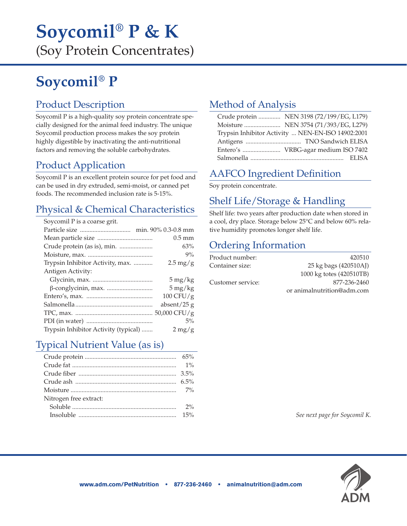## **Soycomil® P & K**  (Soy Protein Concentrates)

# **Soycomil® P**

### Product Description

Soycomil P is a high-quality soy protein concentrate specially designed for the animal feed industry. The unique Soycomil production process makes the soy protein highly digestible by inactivating the anti-nutritional factors and removing the soluble carbohydrates.

### Product Application

Soycomil P is an excellent protein source for pet food and can be used in dry extruded, semi-moist, or canned pet foods. The recommended inclusion rate is 5-15%.

### Physical & Chemical Characteristics

| Trysical & Chemical Characteristics  |                       |
|--------------------------------------|-----------------------|
| Soycomil P is a coarse grit.         |                       |
|                                      |                       |
|                                      | $0.5 \text{ mm}$      |
|                                      | 63%                   |
|                                      | $9\%$                 |
| Trypsin Inhibitor Activity, max.     | $2.5 \,\mathrm{mg/g}$ |
| Antigen Activity:                    |                       |
|                                      | $5 \,\mathrm{mg/kg}$  |
|                                      | $5 \,\mathrm{mg/kg}$  |
|                                      | 100 CFU/g             |
|                                      | absent/25 $g$         |
|                                      |                       |
|                                      | 5%                    |
| Trypsin Inhibitor Activity (typical) | $2 \,\mathrm{mg/g}$   |
|                                      |                       |

### Typical Nutrient Value (as is)

| Nitrogen free extract: |  |
|------------------------|--|
| Soluble $\ldots$ 2%    |  |
|                        |  |
|                        |  |

## Method of Analysis

|                                                   | Crude protein  NEN 3198 (72/199/EG, L179) |  |
|---------------------------------------------------|-------------------------------------------|--|
|                                                   |                                           |  |
| Trypsin Inhibitor Activity  NEN-EN-ISO 14902:2001 |                                           |  |
|                                                   |                                           |  |
| Entero's  VRBG-agar medium ISO 7402               |                                           |  |
|                                                   |                                           |  |

### AAFCO Ingredient Definition

Soy protein concentrate.

### Shelf Life/Storage & Handling

Shelf life: two years after production date when stored in a cool, dry place. Storage below 25°C and below 60% relative humidity promotes longer shelf life.

### Ordering Information

| Product number:   | 420510                     |
|-------------------|----------------------------|
| Container size:   | 25 kg bags (420510AJ)      |
|                   | 1000 kg totes (420510TB)   |
| Customer service: | 877-236-2460               |
|                   | or animalnutrition@adm.com |

*See next page for Soycomil K.*